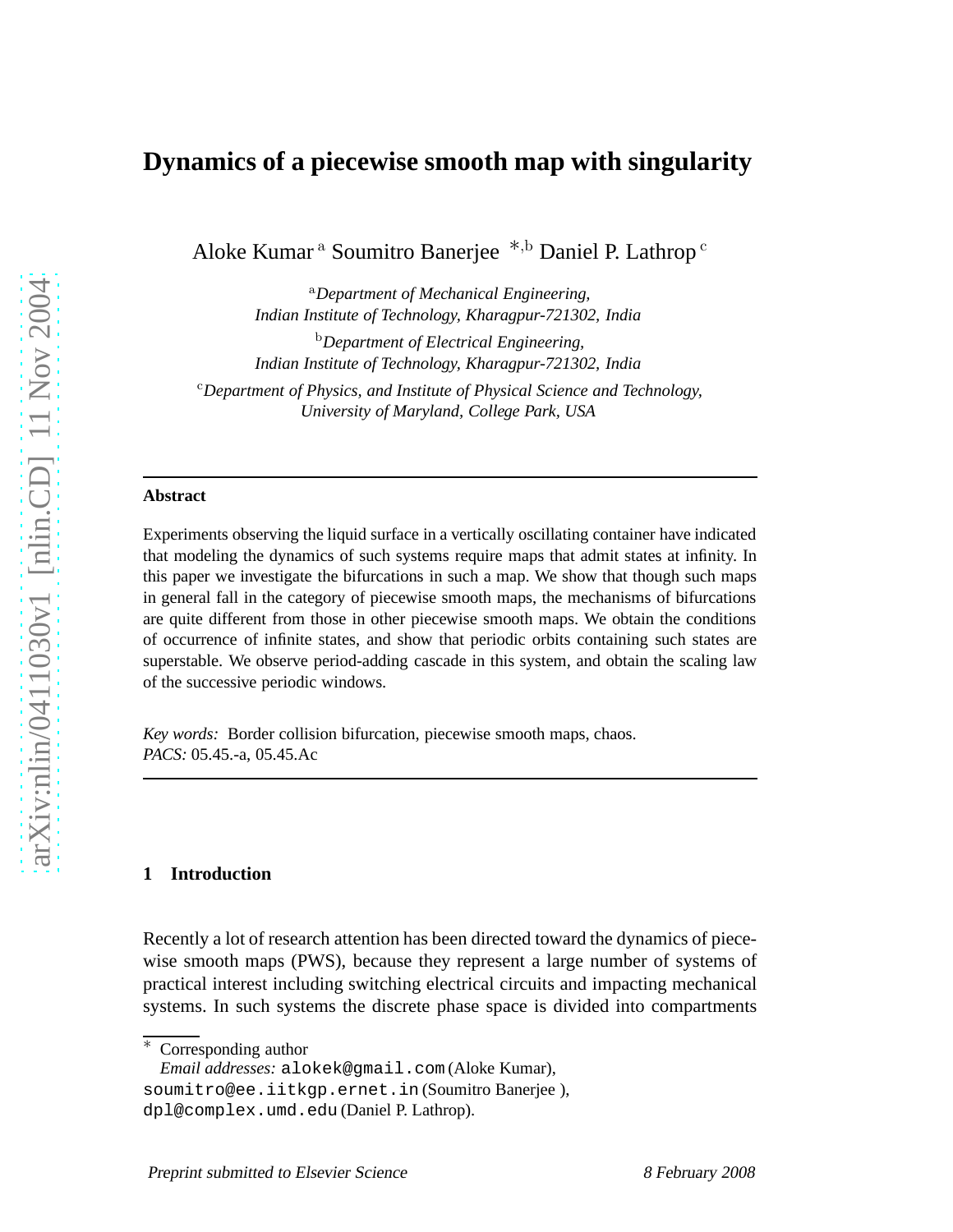## **Dynamics of a piecewise smooth map with singularity**

Aloke Kumar <sup>a</sup> Soumitro Banerjee ∗,<sup>b</sup> Daniel P. Lathrop <sup>c</sup>

<sup>a</sup>*Department of Mechanical Engineering, Indian Institute of Technology, Kharagpur-721302, India*

<sup>b</sup>*Department of Electrical Engineering, Indian Institute of Technology, Kharagpur-721302, India*

<sup>c</sup>*Department of Physics, and Institute of Physical Science and Technology, University of Maryland, College Park, USA*

#### **Abstract**

Experiments observing the liquid surface in a vertically oscillating container have indicated that modeling the dynamics of such systems require maps that admit states at infinity. In this paper we investigate the bifurcations in such a map. We show that though such maps in general fall in the category of piecewise smooth maps, the mechanisms of bifurcations are quite different from those in other piecewise smooth maps. We obtain the conditions of occurrence of infinite states, and show that periodic orbits containing such states are superstable. We observe period-adding cascade in this system, and obtain the scaling law of the successive periodic windows.

*Key words:* Border collision bifurcation, piecewise smooth maps, chaos. *PACS:* 05.45.-a, 05.45.Ac

#### **1 Introduction**

Recently a lot of research attention has been directed toward the dynamics of piecewise smooth maps (PWS), because they represent a large number of systems of practical interest including switching electrical circuits and impacting mechanical systems. In such systems the discrete phase space is divided into compartments

Corresponding author

*Email addresses:* alokek@gmail.com (Aloke Kumar),

soumitro@ee.iitkgp.ernet.in (Soumitro Banerjee ), dpl@complex.umd.edu (Daniel P. Lathrop).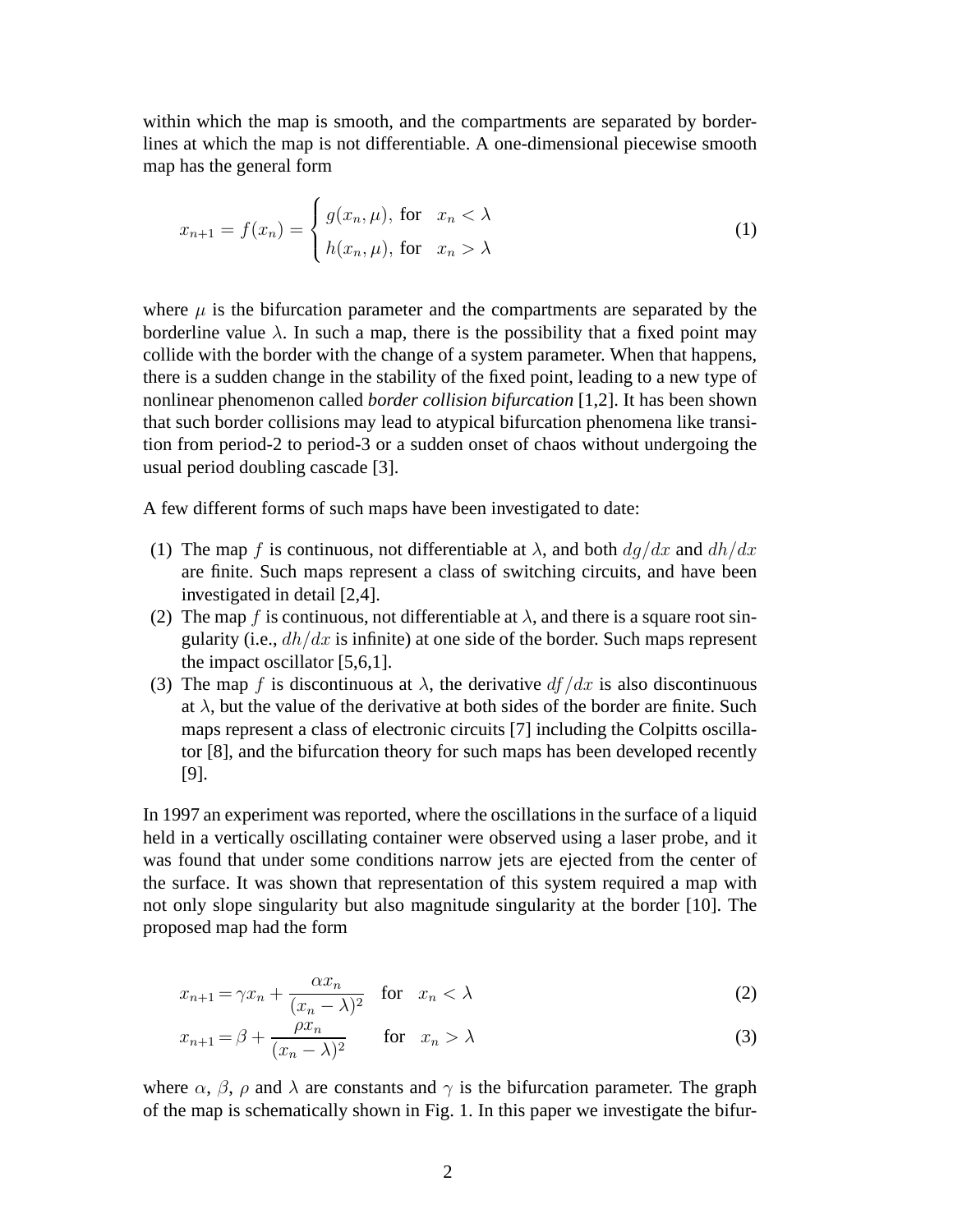within which the map is smooth, and the compartments are separated by borderlines at which the map is not differentiable. A one-dimensional piecewise smooth map has the general form

$$
x_{n+1} = f(x_n) = \begin{cases} g(x_n, \mu), & \text{for } x_n < \lambda \\ h(x_n, \mu), & \text{for } x_n > \lambda \end{cases}
$$
 (1)

where  $\mu$  is the bifurcation parameter and the compartments are separated by the borderline value  $\lambda$ . In such a map, there is the possibility that a fixed point may collide with the border with the change of a system parameter. When that happens, there is a sudden change in the stability of the fixed point, leading to a new type of nonlinear phenomenon called *border collision bifurcation* [1,2]. It has been shown that such border collisions may lead to atypical bifurcation phenomena like transition from period-2 to period-3 or a sudden onset of chaos without undergoing the usual period doubling cascade [3].

A few different forms of such maps have been investigated to date:

- (1) The map f is continuous, not differentiable at  $\lambda$ , and both  $dq/dx$  and  $dh/dx$ are finite. Such maps represent a class of switching circuits, and have been investigated in detail [2,4].
- (2) The map f is continuous, not differentiable at  $\lambda$ , and there is a square root singularity (i.e.,  $dh/dx$  is infinite) at one side of the border. Such maps represent the impact oscillator [5,6,1].
- (3) The map f is discontinuous at  $\lambda$ , the derivative  $df/dx$  is also discontinuous at  $\lambda$ , but the value of the derivative at both sides of the border are finite. Such maps represent a class of electronic circuits [7] including the Colpitts oscillator [8], and the bifurcation theory for such maps has been developed recently [9].

In 1997 an experiment was reported, where the oscillations in the surface of a liquid held in a vertically oscillating container were observed using a laser probe, and it was found that under some conditions narrow jets are ejected from the center of the surface. It was shown that representation of this system required a map with not only slope singularity but also magnitude singularity at the border [10]. The proposed map had the form

$$
x_{n+1} = \gamma x_n + \frac{\alpha x_n}{(x_n - \lambda)^2} \quad \text{for} \quad x_n < \lambda \tag{2}
$$

$$
x_{n+1} = \beta + \frac{\rho x_n}{(x_n - \lambda)^2} \qquad \text{for} \quad x_n > \lambda \tag{3}
$$

where  $\alpha$ ,  $\beta$ ,  $\rho$  and  $\lambda$  are constants and  $\gamma$  is the bifurcation parameter. The graph of the map is schematically shown in Fig. 1. In this paper we investigate the bifur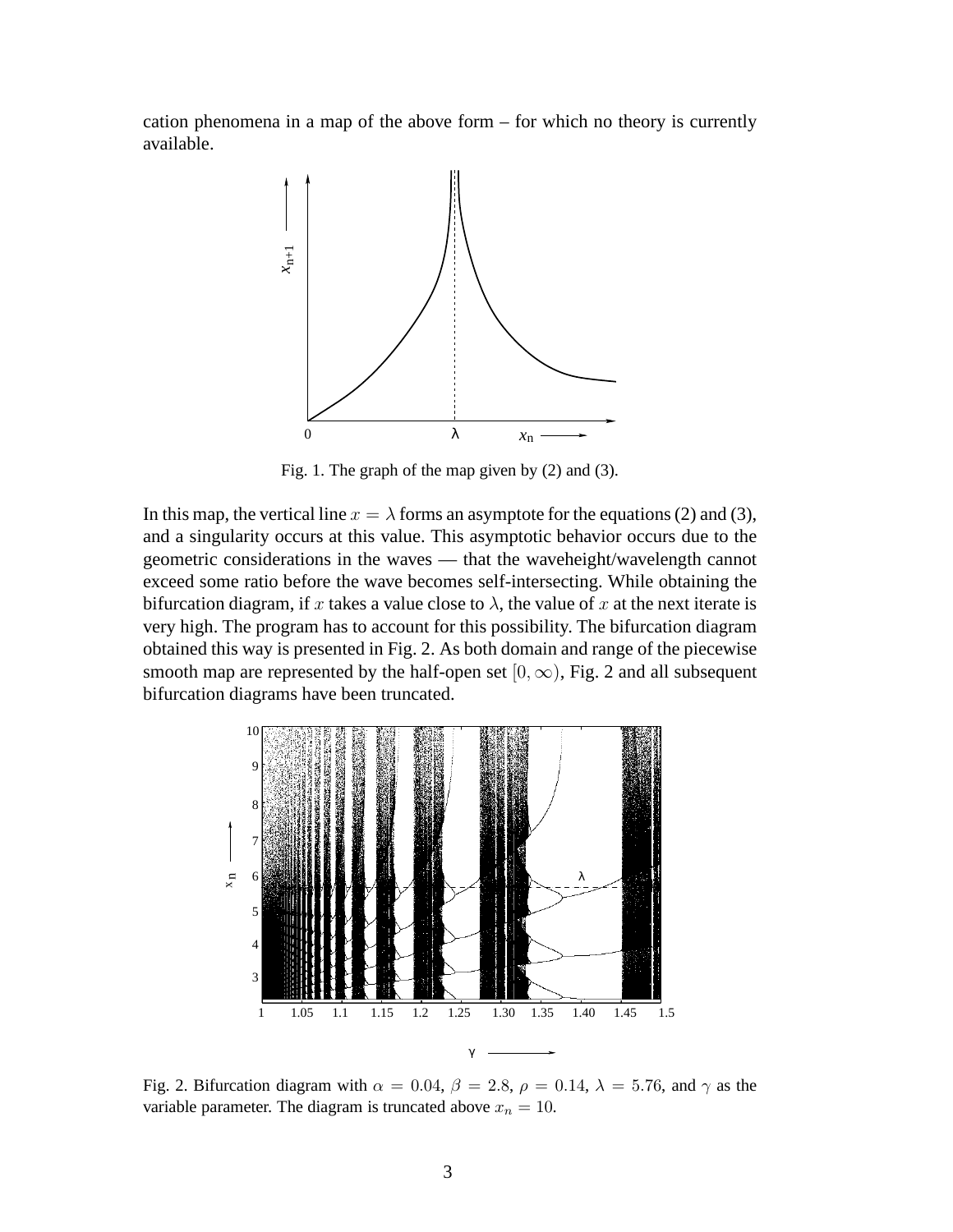cation phenomena in a map of the above form – for which no theory is currently available.



Fig. 1. The graph of the map given by (2) and (3).

In this map, the vertical line  $x = \lambda$  forms an asymptote for the equations (2) and (3), and a singularity occurs at this value. This asymptotic behavior occurs due to the geometric considerations in the waves — that the waveheight/wavelength cannot exceed some ratio before the wave becomes self-intersecting. While obtaining the bifurcation diagram, if x takes a value close to  $\lambda$ , the value of x at the next iterate is very high. The program has to account for this possibility. The bifurcation diagram obtained this way is presented in Fig. 2. As both domain and range of the piecewise smooth map are represented by the half-open set  $[0, \infty)$ , Fig. 2 and all subsequent bifurcation diagrams have been truncated.



Fig. 2. Bifurcation diagram with  $\alpha = 0.04$ ,  $\beta = 2.8$ ,  $\rho = 0.14$ ,  $\lambda = 5.76$ , and  $\gamma$  as the variable parameter. The diagram is truncated above  $x_n = 10$ .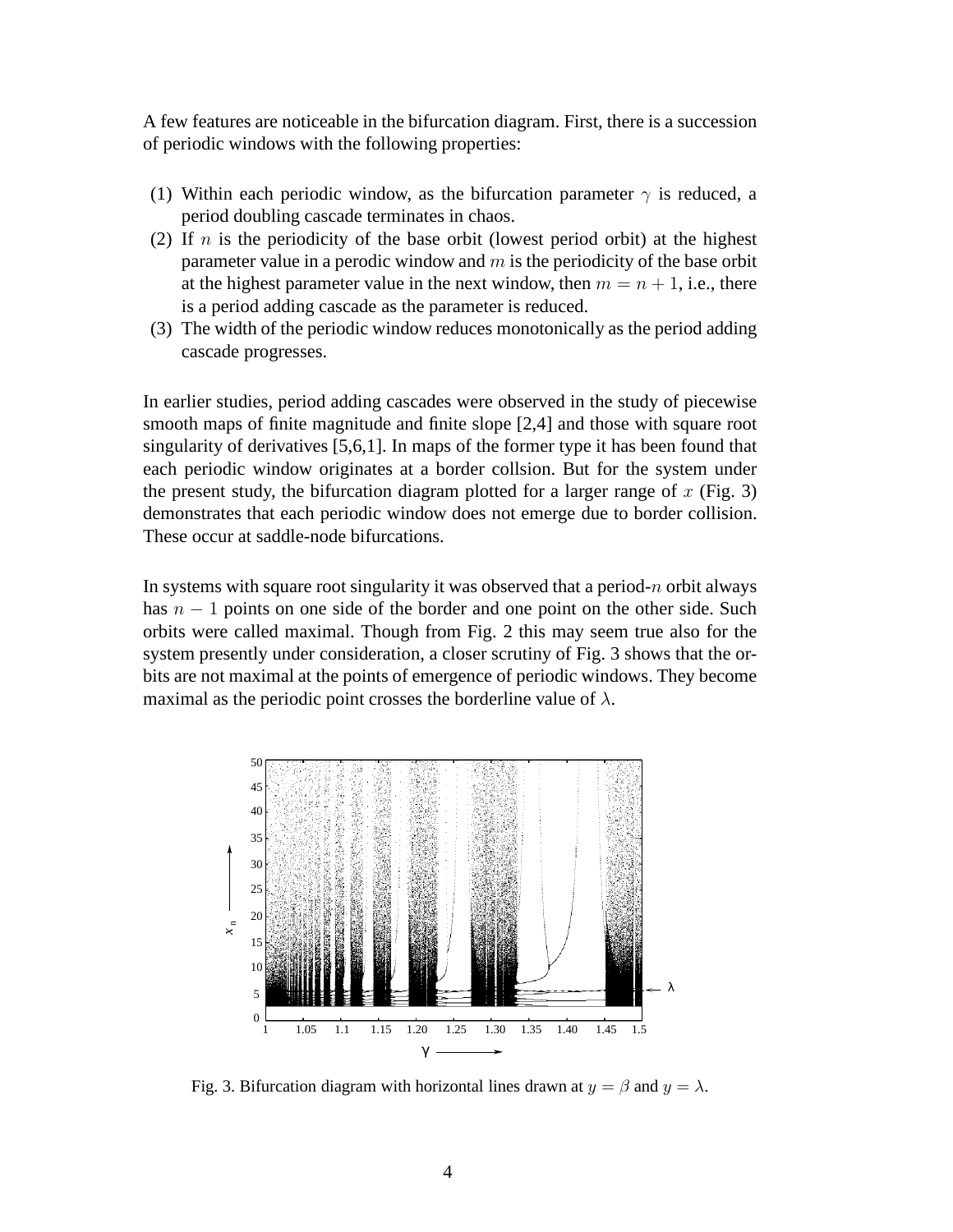A few features are noticeable in the bifurcation diagram. First, there is a succession of periodic windows with the following properties:

- (1) Within each periodic window, as the bifurcation parameter  $\gamma$  is reduced, a period doubling cascade terminates in chaos.
- (2) If  $n$  is the periodicity of the base orbit (lowest period orbit) at the highest parameter value in a perodic window and  $m$  is the periodicity of the base orbit at the highest parameter value in the next window, then  $m = n + 1$ , i.e., there is a period adding cascade as the parameter is reduced.
- (3) The width of the periodic window reduces monotonically as the period adding cascade progresses.

In earlier studies, period adding cascades were observed in the study of piecewise smooth maps of finite magnitude and finite slope [2,4] and those with square root singularity of derivatives [5,6,1]. In maps of the former type it has been found that each periodic window originates at a border collsion. But for the system under the present study, the bifurcation diagram plotted for a larger range of  $x$  (Fig. 3) demonstrates that each periodic window does not emerge due to border collision. These occur at saddle-node bifurcations.

In systems with square root singularity it was observed that a period-n orbit always has  $n - 1$  points on one side of the border and one point on the other side. Such orbits were called maximal. Though from Fig. 2 this may seem true also for the system presently under consideration, a closer scrutiny of Fig. 3 shows that the orbits are not maximal at the points of emergence of periodic windows. They become maximal as the periodic point crosses the borderline value of  $\lambda$ .



Fig. 3. Bifurcation diagram with horizontal lines drawn at  $y = \beta$  and  $y = \lambda$ .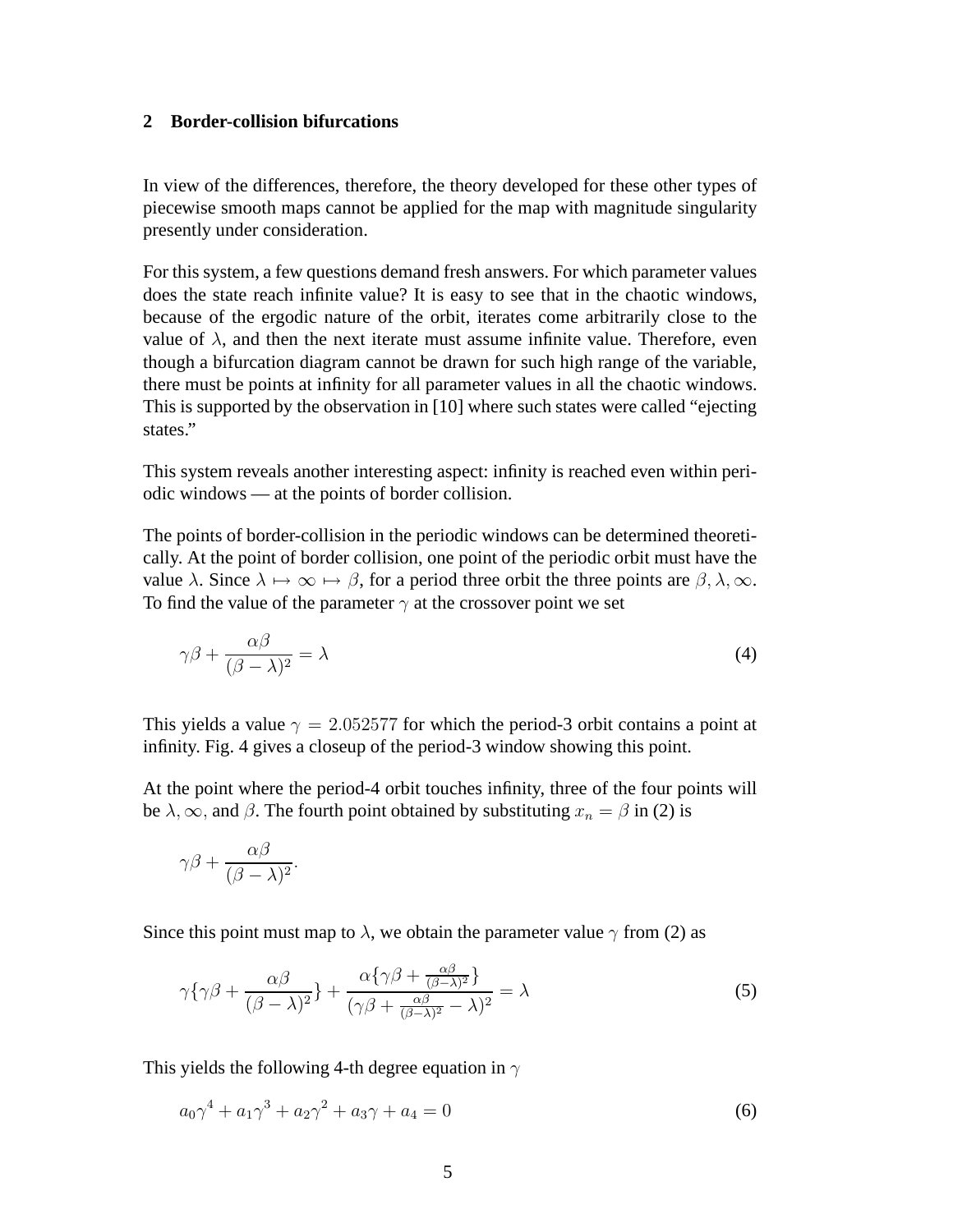### **2 Border-collision bifurcations**

In view of the differences, therefore, the theory developed for these other types of piecewise smooth maps cannot be applied for the map with magnitude singularity presently under consideration.

For this system, a few questions demand fresh answers. For which parameter values does the state reach infinite value? It is easy to see that in the chaotic windows, because of the ergodic nature of the orbit, iterates come arbitrarily close to the value of  $\lambda$ , and then the next iterate must assume infinite value. Therefore, even though a bifurcation diagram cannot be drawn for such high range of the variable, there must be points at infinity for all parameter values in all the chaotic windows. This is supported by the observation in [10] where such states were called "ejecting states."

This system reveals another interesting aspect: infinity is reached even within periodic windows — at the points of border collision.

The points of border-collision in the periodic windows can be determined theoretically. At the point of border collision, one point of the periodic orbit must have the value  $\lambda$ . Since  $\lambda \mapsto \infty \mapsto \beta$ , for a period three orbit the three points are  $\beta, \lambda, \infty$ . To find the value of the parameter  $\gamma$  at the crossover point we set

$$
\gamma \beta + \frac{\alpha \beta}{(\beta - \lambda)^2} = \lambda \tag{4}
$$

This yields a value  $\gamma = 2.052577$  for which the period-3 orbit contains a point at infinity. Fig. 4 gives a closeup of the period-3 window showing this point.

At the point where the period-4 orbit touches infinity, three of the four points will be  $\lambda$ ,  $\infty$ , and  $\beta$ . The fourth point obtained by substituting  $x_n = \beta$  in (2) is

$$
\gamma\beta+\frac{\alpha\beta}{(\beta-\lambda)^2}.
$$

Since this point must map to  $\lambda$ , we obtain the parameter value  $\gamma$  from (2) as

$$
\gamma \{ \gamma \beta + \frac{\alpha \beta}{(\beta - \lambda)^2} \} + \frac{\alpha \{ \gamma \beta + \frac{\alpha \beta}{(\beta - \lambda)^2} \}}{(\gamma \beta + \frac{\alpha \beta}{(\beta - \lambda)^2} - \lambda)^2} = \lambda
$$
\n(5)

This yields the following 4-th degree equation in  $\gamma$ 

$$
a_0 \gamma^4 + a_1 \gamma^3 + a_2 \gamma^2 + a_3 \gamma + a_4 = 0 \tag{6}
$$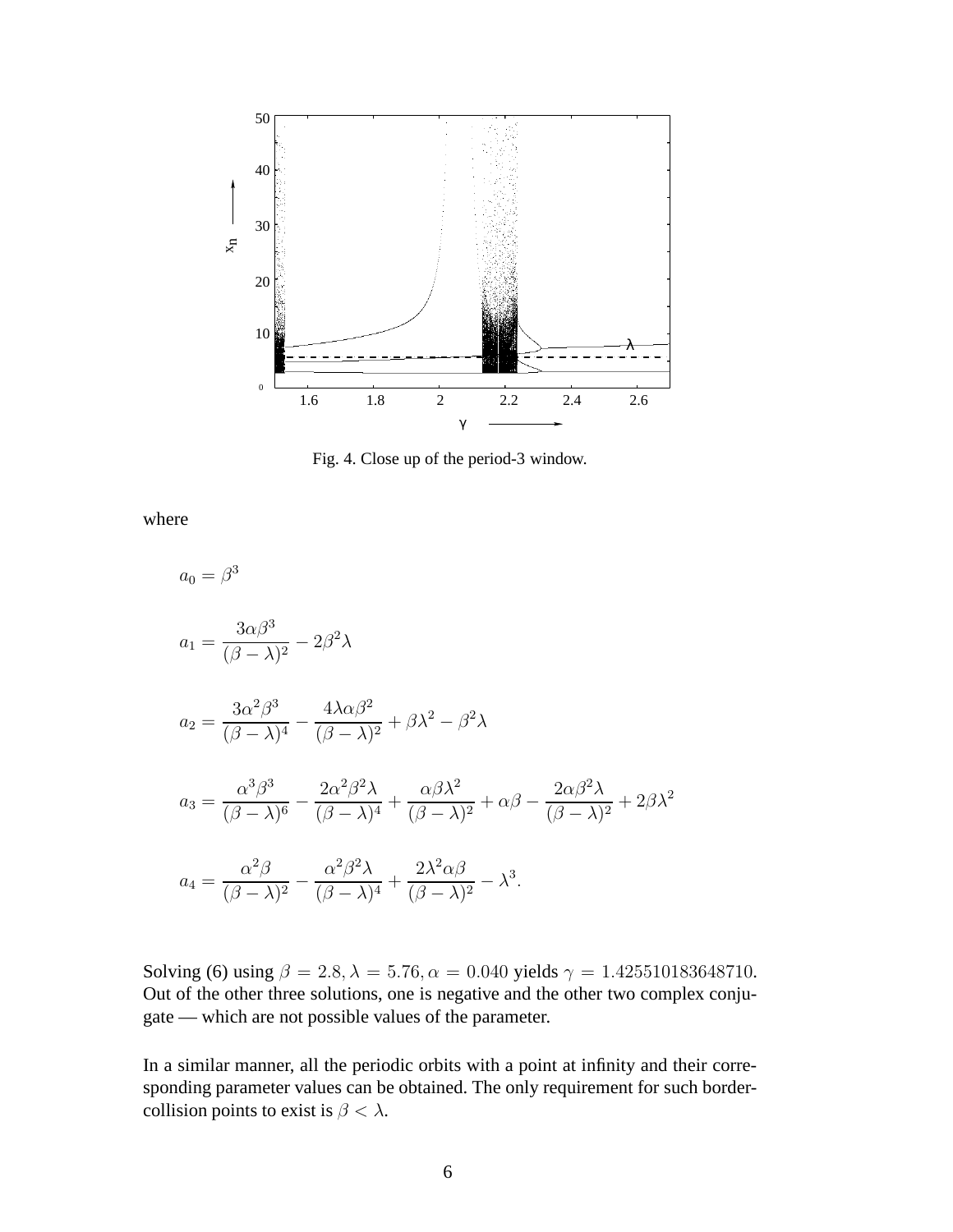

Fig. 4. Close up of the period-3 window.

where

 $a_0 = \beta^3$  $a_1 =$  $3\alpha\beta^3$  $\frac{\partial \alpha \beta}{(\beta - \lambda)^2} - 2\beta^2 \lambda$  $a_2 =$  $3\alpha^2\beta^3$  $\frac{3\alpha\beta}{(\beta-\lambda)^4}$  $4\lambda\alpha\beta^2$  $\frac{4\lambda\alpha\beta}{(\beta-\lambda)^2} + \beta\lambda^2 - \beta^2\lambda$  $a_3 =$  $\alpha^3\beta^3$  $\frac{d^2p}{(\beta-\lambda)^6}$  $2\alpha^2\beta^2\lambda$  $\frac{2\alpha\beta\gamma}{(\beta-\lambda)^4}+$  $\alpha\beta\lambda^2$  $\frac{\alpha \beta \lambda}{(\beta - \lambda)^2} + \alpha \beta 2\alpha\beta^2\lambda$  $\frac{2\alpha\beta\lambda}{(\beta-\lambda)^2}+2\beta\lambda^2$  $a_4 =$  $\alpha^2\beta$  $\frac{d^{2} \beta}{(\beta - \lambda)^{2}} \alpha^2\beta^2\lambda$  $\frac{a^2 \beta^2 \Lambda}{(\beta - \lambda)^4} +$  $2\lambda^2\alpha\beta$  $\frac{2\lambda}{(\beta-\lambda)^2}-\lambda^3.$ 

Solving (6) using  $\beta = 2.8$ ,  $\lambda = 5.76$ ,  $\alpha = 0.040$  yields  $\gamma = 1.425510183648710$ . Out of the other three solutions, one is negative and the other two complex conjugate — which are not possible values of the parameter.

In a similar manner, all the periodic orbits with a point at infinity and their corresponding parameter values can be obtained. The only requirement for such bordercollision points to exist is  $\beta < \lambda$ .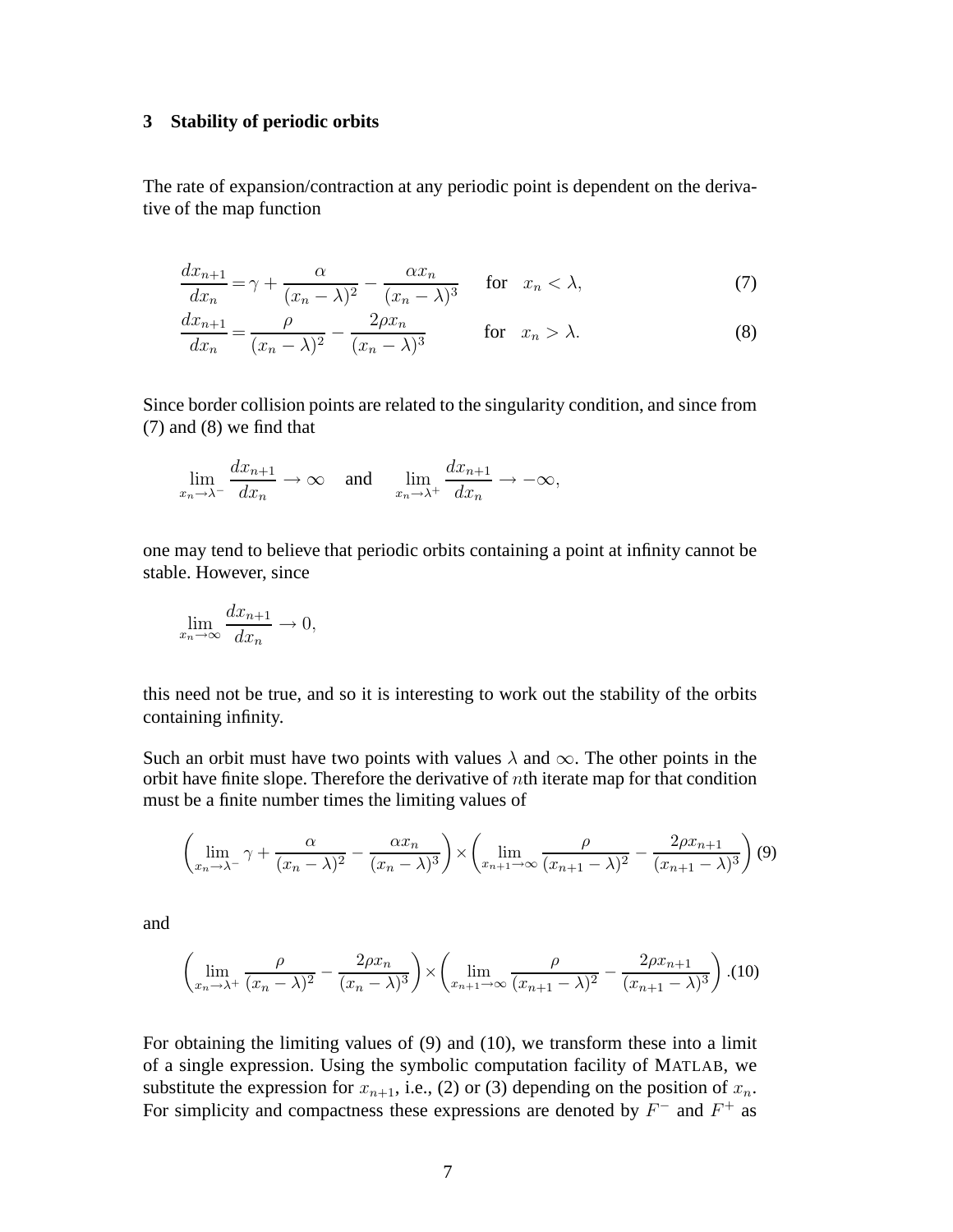#### **3 Stability of periodic orbits**

The rate of expansion/contraction at any periodic point is dependent on the derivative of the map function

$$
\frac{dx_{n+1}}{dx_n} = \gamma + \frac{\alpha}{(x_n - \lambda)^2} - \frac{\alpha x_n}{(x_n - \lambda)^3} \quad \text{for} \quad x_n < \lambda,\tag{7}
$$

$$
\frac{dx_{n+1}}{dx_n} = \frac{\rho}{(x_n - \lambda)^2} - \frac{2\rho x_n}{(x_n - \lambda)^3} \quad \text{for } x_n > \lambda. \tag{8}
$$

Since border collision points are related to the singularity condition, and since from (7) and (8) we find that

$$
\lim_{x_n \to \lambda^-} \frac{dx_{n+1}}{dx_n} \to \infty \quad \text{and} \quad \lim_{x_n \to \lambda^+} \frac{dx_{n+1}}{dx_n} \to -\infty,
$$

one may tend to believe that periodic orbits containing a point at infinity cannot be stable. However, since

$$
\lim_{x_n \to \infty} \frac{dx_{n+1}}{dx_n} \to 0,
$$

this need not be true, and so it is interesting to work out the stability of the orbits containing infinity.

Such an orbit must have two points with values  $\lambda$  and  $\infty$ . The other points in the orbit have finite slope. Therefore the derivative of nth iterate map for that condition must be a finite number times the limiting values of

$$
\left(\lim_{x_n \to \lambda^-} \gamma + \frac{\alpha}{(x_n - \lambda)^2} - \frac{\alpha x_n}{(x_n - \lambda)^3}\right) \times \left(\lim_{x_{n+1} \to \infty} \frac{\rho}{(x_{n+1} - \lambda)^2} - \frac{2\rho x_{n+1}}{(x_{n+1} - \lambda)^3}\right)
$$
(9)

and

$$
\left(\lim_{x_n\to\lambda^+}\frac{\rho}{(x_n-\lambda)^2}-\frac{2\rho x_n}{(x_n-\lambda)^3}\right)\times\left(\lim_{x_{n+1}\to\infty}\frac{\rho}{(x_{n+1}-\lambda)^2}-\frac{2\rho x_{n+1}}{(x_{n+1}-\lambda)^3}\right). (10)
$$

For obtaining the limiting values of (9) and (10), we transform these into a limit of a single expression. Using the symbolic computation facility of MATLAB, we substitute the expression for  $x_{n+1}$ , i.e., (2) or (3) depending on the position of  $x_n$ . For simplicity and compactness these expressions are denoted by  $F^-$  and  $F^+$  as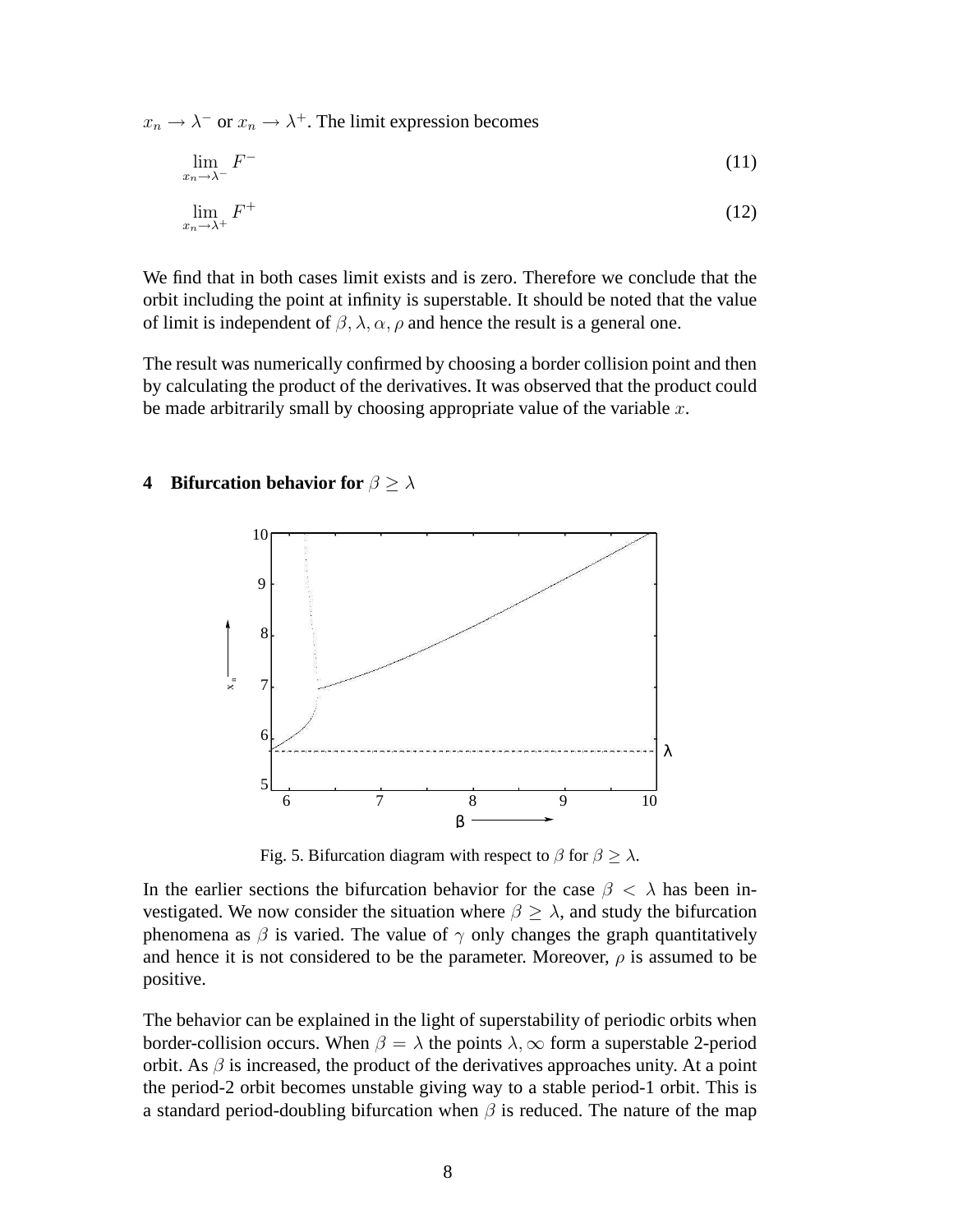$x_n \to \lambda^-$  or  $x_n \to \lambda^+$ . The limit expression becomes

$$
\lim_{x_n \to \lambda^-} F^- \tag{11}
$$

$$
\lim_{x_n \to \lambda^+} F^+ \tag{12}
$$

We find that in both cases limit exists and is zero. Therefore we conclude that the orbit including the point at infinity is superstable. It should be noted that the value of limit is independent of  $\beta$ ,  $\lambda$ ,  $\alpha$ ,  $\rho$  and hence the result is a general one.

The result was numerically confirmed by choosing a border collision point and then by calculating the product of the derivatives. It was observed that the product could be made arbitrarily small by choosing appropriate value of the variable  $x$ .

# **4** Bifurcation behavior for  $\beta \geq \lambda$



Fig. 5. Bifurcation diagram with respect to  $\beta$  for  $\beta \geq \lambda$ .

In the earlier sections the bifurcation behavior for the case  $\beta < \lambda$  has been investigated. We now consider the situation where  $\beta \geq \lambda$ , and study the bifurcation phenomena as  $\beta$  is varied. The value of  $\gamma$  only changes the graph quantitatively and hence it is not considered to be the parameter. Moreover,  $\rho$  is assumed to be positive.

The behavior can be explained in the light of superstability of periodic orbits when border-collision occurs. When  $\beta = \lambda$  the points  $\lambda$ ,  $\infty$  form a superstable 2-period orbit. As  $\beta$  is increased, the product of the derivatives approaches unity. At a point the period-2 orbit becomes unstable giving way to a stable period-1 orbit. This is a standard period-doubling bifurcation when  $\beta$  is reduced. The nature of the map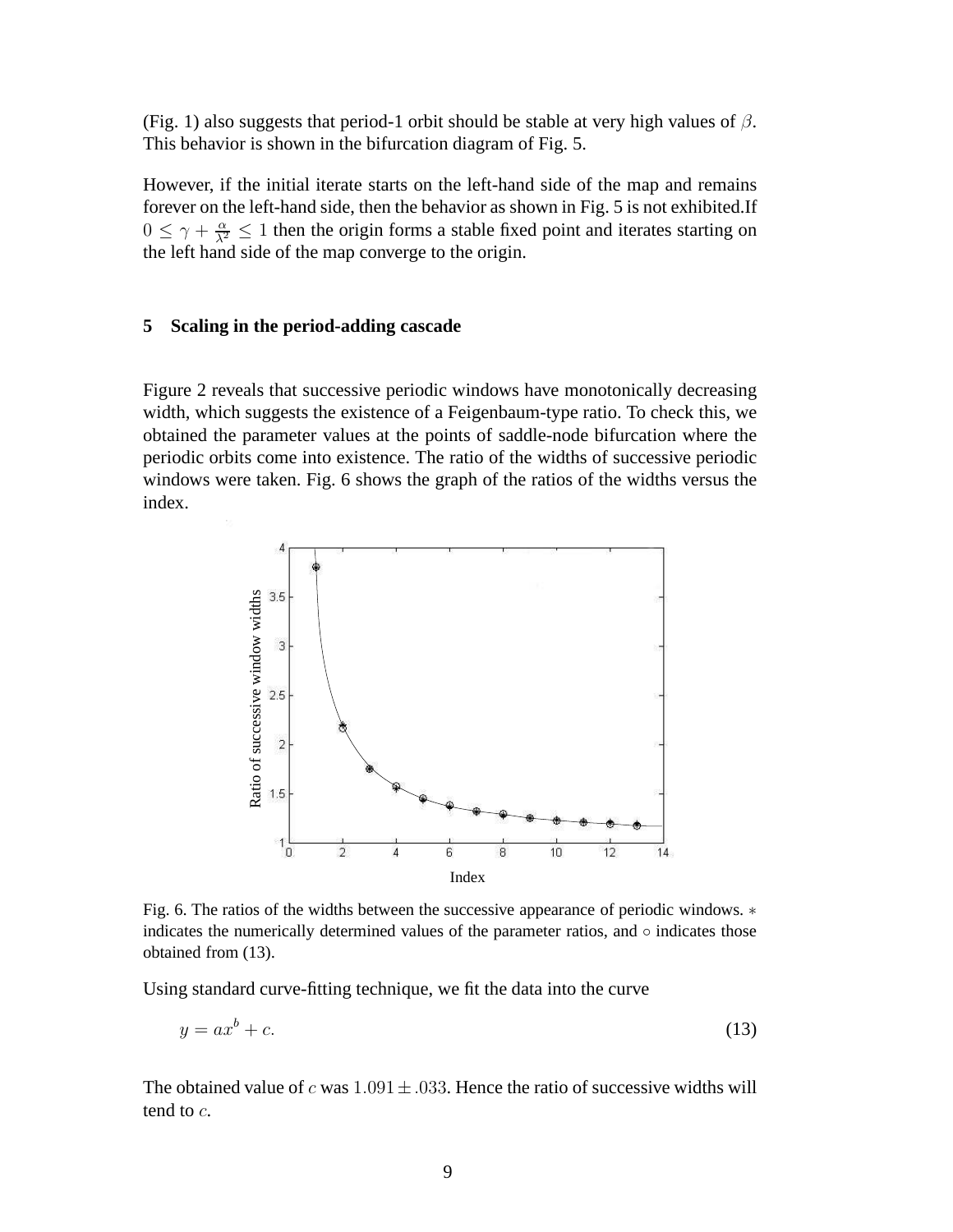(Fig. 1) also suggests that period-1 orbit should be stable at very high values of  $\beta$ . This behavior is shown in the bifurcation diagram of Fig. 5.

However, if the initial iterate starts on the left-hand side of the map and remains forever on the left-hand side, then the behavior as shown in Fig. 5 is not exhibited.If  $0 \leq \gamma + \frac{\alpha}{\lambda^2} \leq 1$  then the origin forms a stable fixed point and iterates starting on the left hand side of the map converge to the origin.

#### **5 Scaling in the period-adding cascade**

Figure 2 reveals that successive periodic windows have monotonically decreasing width, which suggests the existence of a Feigenbaum-type ratio. To check this, we obtained the parameter values at the points of saddle-node bifurcation where the periodic orbits come into existence. The ratio of the widths of successive periodic windows were taken. Fig. 6 shows the graph of the ratios of the widths versus the index.



Fig. 6. The ratios of the widths between the successive appearance of periodic windows. ∗ indicates the numerically determined values of the parameter ratios, and  $\circ$  indicates those obtained from (13).

Using standard curve-fitting technique, we fit the data into the curve

$$
y = ax^b + c.\tag{13}
$$

The obtained value of c was  $1.091 \pm .033$ . Hence the ratio of successive widths will tend to c.